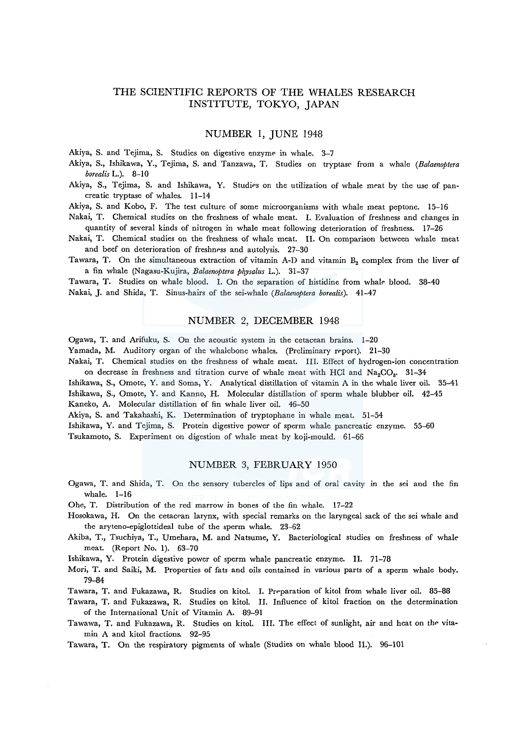# THE SCIENTIFIC REPORTS OF THE WHALES RESEARCH INSTITUTE, TOKYO, JAPAN

### NUMBER I, JUNE 1948

Akiya, S. and Tejima, S. Studies on digestive enzyme in whale. 3-7

- Akiya, S., Ishikawa, Y., Tejima, S. and Tanzawa, T. Studies on tryptase from a whale (Balaenoptera *borealis* L.). 8-10
- Akiya, S., Tejima, S. and Ishikawa, Y. Studies on the utilization of whale meat by the use of pancreatic tryptase of whales. 11-14
- Akiya, S. and Kobo, F. The test culture of some microorganisms with whale meat peptone. 15-16
- Nakai, T. Chemical studies on the freshness of whale meat. I. Evaluation of freshness and changes in quantity of several kinds of nitrogen in whale meat following deterioration of freshness. 17-26
- Nakai, T. Chemical studies on the freshness of whale meat. II. On comparison between whale meat and beef on deterioration of freshness and autolysis. 27-30
- Tawara, T. On the simultaneous extraction of vitamin A-D and vitamin  $B<sub>2</sub>$  complex from the liver of a fin whale (Nagasu-Kujira, *Balaenoptera physalus* L.). 31-37

Tawara, T. Studies on whale blood. I. On the separation of histidine from whale blood. 38-40 Nakai, J. and Shida, T. Sinus-hairs of the sei-whale *(Balaenoptera borealis).* 41-47

# NUMBER 2, DECEMBER 1948

Ogawa, T. and Arifuku, S. On the acoustic system in the cetacean brains. 1-20

- Yamada, M. Auditory organ of the whalebone whales. (Preliminary report). 21-30
- Nakai, T. Chemical studies on the freshness of whale meat. III. Effect of hydrogen-ion concentration on decrease in freshness and titration curve of whale meat with HCl and  $Na_2CO_8$ . 31-34
- Ishikawa, S., Omote, Y. and Soma, Y. Analytical distillation of vitamin A in the whale liver oil. 35-41 Ishikawa, S., Omote, Y. and Kanno, H. Molecular distillation of sperm whale blubber oil. 42-45 Kaneko, A. Molecular distillation of fin whale liver oil. 46-50

Akiya, S. and Takahashi, K. Determination of tryptophane in whale meat. 51-54

Ishikawa, Y. and Tejima, S. Protein digestive power of sperm whale pancreatic enzyme. 55-60

Tsukamoto, S. Experiment on digestion of whale meat by koji-mould. 61-66

## NUMBER 3, FEBRUARY 1950

- Ogawa, T. and Shida, T. On the sensory tubercles of lips and of oral cavity in the sei and the fin whale. 1-16
- Ohe, T. Distribution of the red marrow in bones of the fin whale. 17-22
- Hosokawa, H. On the cetacean larynx, with special remarks on the laryngeal sack of the sei whale and the aryteno-epiglottideal tube of the sperm whale. 23-62
- Akiba, T., Tsuchiya, T., Umehara, M. and Natsume, Y. Bacteriological studies on freshness of whale meat. (Report No. 1). 63-70
- Ishikawa, Y. Protein digestive power of sperm whale pancreatic enzyme. II. 71-78
- Mori, T. and Saiki, M. Properties of fats and oils contained in various parts of a sperm whale body. 79-84
- Tawara, T. and Fukazawa, R. Studies on kitol. I. Preparation of kitol from whale liver oil. 85-88

Tawara, T. and Fukazawa, R. Studies on kitol. II. Influence of kitol fraction on the determination of the International Unit of Vitamin A. 89-91

Tawawa, T. and Fukazawa, R. Studies on kitol. III. The effect of sunlight, air and heat on the vitamin A and kitol fractions. 92-95

Tawara, T. On the respiratory pigments of whale (Studies on whale blood II.). 96-101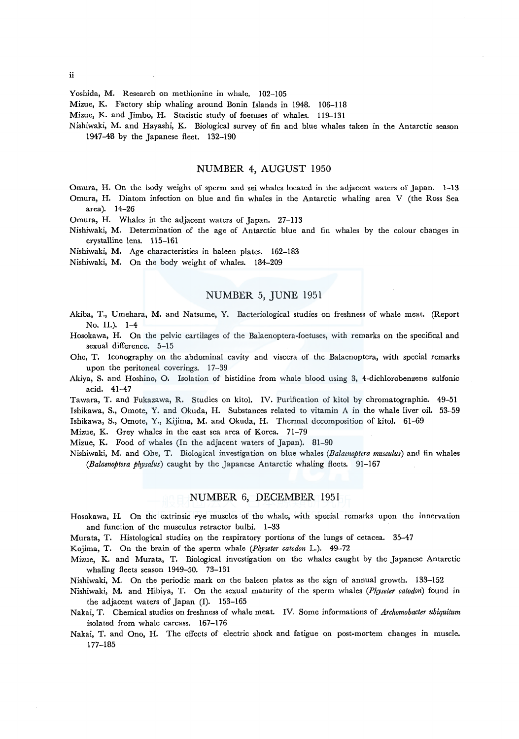#### Yoshida, M. Research on methionine in whale. 102-105

Mizue, K. Factory ship whaling around Bonin Islands in 1948. 106-118

Mizue, K. and Jimbo, H. Statistic study of foetuses of whales. 119-131

Nishiwaki, M. and Hayashi, K. Biological survey of fin and blue whales taken in the Antarctic season 1947-48 by the Japanese fleet. 132-190

# NUMBER 4, AUGUST 1950

- Omura, H. On the body weight of sperm and sei whales located in the adjacent waters of Japan. 1-13
- Omura, H. Diatom infection on blue and fin whales in the Antarctic whaling area V (the Ross Sea area). 14-26

Omura, H. Whales in the adjacent waters of Japan. 27-113

- Nishiwaki, M. Determination of the age of Antarctic blue and fin whales by the colour changes in crystalline lens. 115-161
- Nishiwaki, M. Age characteristics in baleen plates. 162-183

Nishiwaki, M. On the body weight of whales. 184-209

## NUMBER 5, JUNE 1951

- Akiba, T., Umehara, M. and Natsume, Y. Bacteriological studies on freshness of whale meat. (Report No. II.). 1-4
- Hosokawa, H. On the pelvic cartilages of the Balaenoptera-foetuses, with remarks on the specifical and sexual difference. 5-15
- Ohe, T. Iconography on the abdominal cavity and viscera of the Balaenoptera, with special remarks upon the peritoneal coverings. 17-39
- Akiya, S. and Hoshino, O. Isolation of histidine from whale blood using 3, 4-dichlorobenzene sulfonic acid. 41-47

Tawara, T. and Fukazawa, R. Studies on kitol. IV. Purification of kitol by chromatographie. 49-51 Ishikawa, S., Omote, Y. and Okuda, H. Substances related to vitamin A in the whale liver oil. 53-59 Ishikawa, S., Omote, Y., Kijima, M. and Okuda, H. Thermal decomposition of kitol. 61-69

Mizue, K. Grey whales in the east sea area of Korea. 71-79

Mizue, K. Food of whales (In the adjacent waters of Japan). 81-90

Nishiwaki, M. and Ohe, T. Biological investigation on blue whales *(Balaenoptera musculus)* and fin whales *(Balaenoptera physalus)* caught by the Japanese Antarctic whaling fleets. 91-167

# NUMBER 6, DECEMBER 1951

Hosokawa, H. On the extrinsic eye muscles of the whale, with special remarks upon the innervation and function of the musculus retractor bulbi. 1-33

Murata, T. Histological studies on the respiratory portions of the lungs of cetacea. 35-47

Kojima, T. On the brain of the sperm whale *(Physeter catodon* L.). 49-72

Mizue, K. and Murata, T. Biological investigation on the whales caught by the Japanese Antarctic whaling fleets season 1949-50. 73-131

Nishiwaki, M. On the periodic mark on the baleen plates as the sign of annual growth. 133-152

Nishiwaki, M. and Hibiya, T. On the sexual maturity of the sperm whales *(Physeter catodon)* found in the adjacent waters of Japan (I). 153-165

- Nakai, T. Chemical studies on freshness of whale meat. IV. Some informations of *Archomobacter ubiquitum*  isolated from whale carcass. 167-176
- Nakai, T. and Ono, H. The effects of electric shock and fatigue on post-mortem changes in muscle. 177-185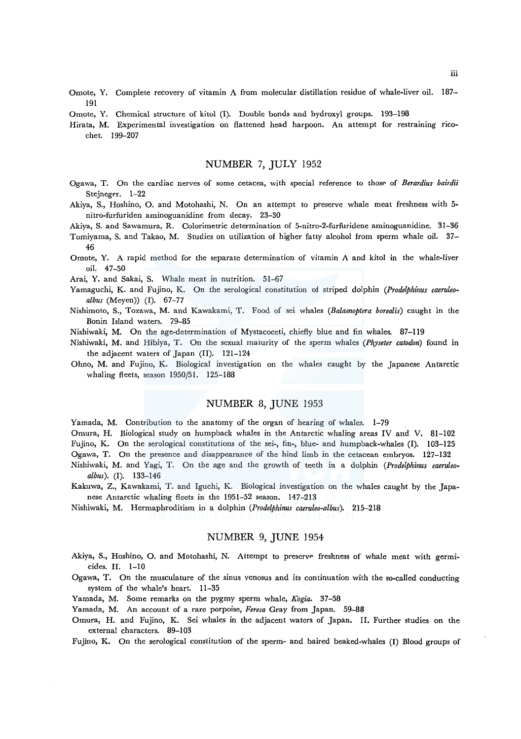- Omote, Y. Complete recovery of vitamin A from molecular distillation residue of whale-liver oil. 187- 191
- Omote, Y. Chemical structure of kitol (I). Double bonds and hydroxyl groups. 193-198

Hirata, M. Experimental investigation on flattened head harpoon. An attempt for restraining ricochet. 199-207

## NUMBER 7, JULY 1952

- Ogawa, T. On the cardiac nerves of some cetacea, with special reference to those of *Berardius bairdii*  Stejneger. 1-22
- Akiya, S., Hoshino, 0. and Motohashi, N. On an attempt to preserve whale meat freshness with 5 nitro-furfuriden aminoguanidine from decay. 23-30
- Akiya, S. and Sawamura, R. Colorimetric determination of 5-nitro-2-furfuridene aminoguanidine. 31-36

Tomiyama, S. and Takao, M. Studies on utilization of higher fatty alcohol from sperm whale oil. 37- 46

Omote, Y. A rapid method for the separate determination of vitamin A and kitol in the whale-liver oil. 47-50

Arai, Y. and Sakai, S. Whale meat in nutrition. 51-67

- Yamaguchi, K. and Fujino, K. On the serological constitution of striped dolphin *(Prodelphinus caeruleoalbus* (Meyen)) (I). 67-77
- Nishimoto, S., Tozawa, M. and Kawakami, T. Food of sei whales *(Balaenoptera borealis)* caught in the Bonin Island waters. 79-85
- Nishiwaki, M. On the age-determination of Mystacoceti, chiefly blue and fin whales. 87-119
- Nishiwaki, M. and Hibiya, T. On the sexual maturity of the sperm whales *(Physeter catodon)* found in the adjacent waters of Japan (II). 121-124
- Ohno, M. and Fujino, K. Biological investigation on the whales caught by the Japanese Antarctic whaling fleets, season 1950/51. 125-188

# NUMBER 8, JUNE 1953

Yamada, M. Contribution to the anatomy of the organ of hearing of whales. 1-79

Omura, H. Biological study on humpback whales in the Antarctic whaling areas IV and V. 81-102 Fujino, K. On the serological constitutions of the sei-, fin-, blue- and humpback-whales (I). 103-125 Ogawa, T. On the presence and disappearance of the hind limb in the cetacean embryos. 127-132

- Nishiwaki, M. and Yagi, T. On the age and the growth of teeth in a dolphin *(Prodelphinus caeruleoalbus).* (I). 133-146
- Kakuwa, Z., Kawakami, T. and Iguchi, K. Biological investigation on the whales caught by the Japanese Antarctic whaling fleets in the 1951-52 season. 147-213
- Nishiwaki, M. Hermaphroditism in a dolphin *(Prodelphinus caeruleo-albus).* 215-218

# NUMBER 9, JUNE 1954

- Akiya, S., Hoshino, O. and Motohashi, N. Attempt to preserve freshness of whale meat with germicides. II. 1-10
- Ogawa, T. On the musculature of the sinus venosus and its continuation with the so-called conducting system of the whale's heart. 11-35
- Yamada, M. Some remarks on the pygmy sperm whale, *Kogia.* 37-58
- Yamada, M. An account of a rare porpoise, *Feresa* Gray from Japan. 59-88
- Omura, H. and Fujino, K. Sei whales in the adjacent waters of Japan. II. Further studies on the external characters. 89-103

Fujino, K. On the serological constitution of the sperm- and haired beaked-whales (I) Blood groups of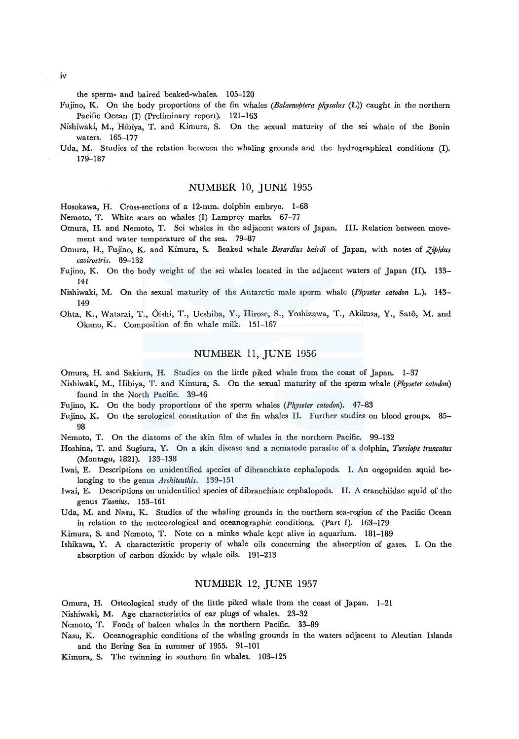the sperm- and haired beaked-whales. 105-120

- Fujino, K. On the body proportions of the fin whales *(Balaenoptera physalus* (L)) caught *in* the northern Pacific Ocean (I) (Preliminary report). 121-163
- Nishiwaki, M., Hibiya, T. and Kimura, S. On the sexual maturity of the sei whale of the Bonin waters. 165-177
- Uda, M. Studies of the relation between the whaling grounds and the hydrographical conditions (I). 179-187

## NUMBER 10, JUNE 1955

Hosokawa, H. Cross-sections of a 12-mm. dolphin embryo. 1-68

Nemoto, T. White scars on whales (I) Lamprey marks. 67-77

- Omura, H. and Nemoto, T. Sei whales in the adjacent waters of Japan. III. Relation between movement and water temperature of the sea. 79-87
- Omura, H., Fujino, K. and Kimura, S. Beaked whale *Berardius bairdi* of Japan, with notes of *ZJphius cavirostris.* 89-132
- Fujino, K. On the body weight of the sei whales located in the adjacent waters of Japan (II). 133- 141
- Nishiwaki, M. On the sexual maturity of the Antarctic male sperm whale *(Physeter catodon* L.). 143- 149
- Ohta, K., Watarai, T., Oishi, T., Ueshiba, Y., Hirose, S., Yoshizawa, T., Akikusa, Y., Sato, M. and Okano, K. Composition of fin whale milk. 151-167

## NUMBER 11, JUNE 1956

Omura, H. and Sakiura, H. Studies on the little piked whale from the coast of Japan. 1-3'7

- Nishiwaki, M., Hibiya, T. and Kimura, S. On the sexual maturity of the sperm whale *(Physeter catodon)*  found in the North Pacific. 39-46
- Fujino, K. On the body proportions of the sperm whales (Physeter catodon). 47-83
- Fujino, K. On the serological constitution of the fin whales II. Further studies on blood groups. 85-98
- Nemoto, T. On the diatoms of the skin film of whales in the northern Pacific. 99-132
- Hoshina, T. and Sugiura, Y. On a skin disease and a nematode parasite of a dolphin, *Tursiops truncatus*  (Montagu, 1821). 133-138
- Iwai, E. Descriptions on unidentified species of dibranchiate cephalopods. I. An oegopsiden squid belonging to the genus *Architeuthis.* 139-151
- Iwai, E. Descriptions on unidentified species of dibranchiate cephalopods. II. A cranchiidae squid of the genus *Taonius.* 153-161
- Uda, M. and Nasu, K. Studies of the whaling grounds in the northern sea-region of the Pacific Ocean in relation to the meteorological and oceanographic conditions. (Part I). 163-179
- Kimura, S. and Nemoto, T. Note on a minke whale kept alive in aquarium. 181-189

Ishikawa, Y. A characteristic property of whale oils concerning the absorption of gases. I. On the absorption of carbon dioxide by whale oils. 191-213

#### NUMBER 12, JUNE 1957

Omura, H. Osteological study of the little piked whale from the coast of Japan. 1-21

Nishiwaki, M. Age characteristics of ear plugs of whales. 23-32

Nemoto, T. Foods of baleen whales in the northern Pacific. 33-89

Nasu, K. Oceanographic conditions of the whaling grounds in the waters adjacent to Aleutian Islands and the Bering Sea in summer of 1955. 91-101

Kimura, S. The twinning *in* southern fin whales. 103-125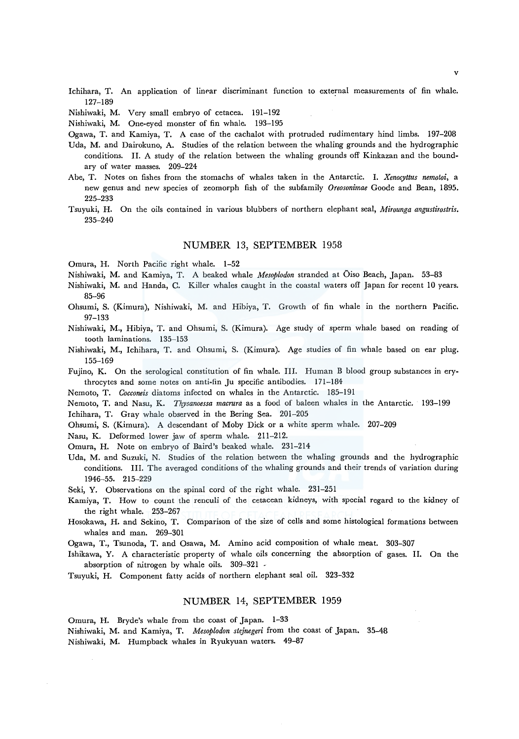- Ichihara, T. An application of linear discriminant function to external measurements of fin whale. 127-189
- Nishiwaki, M. Very small embryo of cetacea. 191-192

Nishiwaki, M. One-eyed monster of fin whale. 193-195

Ogawa, T. and Kamiya, T. A case of the cachalot with protruded rudimentary hind limbs. 197-208

- Uda, M. and Dairokuno, A. Studies of the relation between the whaling grounds and the hydrographic conditions. II. A study of the relation between the whaling grounds off Kinkazan and the boundary of water masses. 209-224
- Abe, T. Notes on fishes from the stomachs of whales taken in the Antarctic. I. *Xenocyttus nemotoi,* a new genus and new species of zeomorph fish of the subfamily *Oreosonimae* Goode and Bean, 1895. 225-233
- Tsuyuki, H. On the oils contained in various blubbers of northern elephant seal, *Mirounga angustirostris.*  235-240

#### NUMBER 13, SEPTEMBER 1958

Omura, H. North Pacific right whale. 1-52

- Nishiwaki, M. and Kamiya, T. A beaked whale *Mesoplodon* stranded at Oiso Beach, Japan. 53-83
- Nishiwaki, M. and Randa, C. Killer whales caught in the coastal waters off Japan for recent 10 years. 85-96
- Ohsumi, S. (Kimura), Nishiwaki, M. and Hibiya, T. Growth of fin whale in the northern Pacific. 97-133
- Nishiwaki, M., Hibiya, T. and Ohsumi, S. (Kimura). Age study of sperm whale based on reading of tooth laminations. 135-153
- Nishiwaki, M., Ichihara, T. and Ohsumi, S. (Kimura). Age studies of fin whale based on ear plug. 155-169
- Fujino, K. On the serological constitution of fin whale. III. Human B blood group substances in erythrocytes and some notes on anti-fin Ju specific antibodies. 171-184
- Nemoto, T. *Cocconeis* diatoms infected on whales in the Antarctic. 185-191
- Nemoto, T. and Nasu, K. *Thysanoessa macrura* as a food of baleen whales in the Antarctic. 193-199 Ichihara, T. Gray whale observed in the Bering Sea. 201-205

Ohsumi, S. (Kimura). A descendant of Moby Dick or a white sperm whale. 207-209

Nasu, K. Deformed lower jaw of sperm whale. 211-212.

- Omura, H. Note on embryo of Baird's beaked whale. 231-214
- Uda, M. and Suzuki, N. Studies of the relation between the whaling grounds and the hydrographic conditions. III. The averaged conditions of the whaling grounds and their trends of variation during 1946-55. 215-229
- Seki, Y. Observations on the spinal cord of the right whale. 231-251
- Kamiya, T. How to count the renculi of the cetacean kidneys, with special regard to the kidney of the right whale. 253-267
- Hosokawa, H. and Sekino, T. Comparison of the size of cells and some histological formations between whales and man. 269-301

Ogawa, T., Tsunoda, T. and Osawa, M. Amino acid composition of whale meat. 303-307

Ishikawa, Y. A characteristic property of whale oils concerning the absorption of gases. II. On the absorption of nitrogen by whale oils. 309-321 -

Tsuyuki, H. Component fatty acids of northern elephant seal oil. 323-332

## NUMBER 14, SEPTEMBER 1959

Omura, H. Bryde's whale from the coast of Japan. 1-33

Nishiwaki, M. and Kamiya, T. *Mesoplodon stejnegeri* from the coast of Japan. 35-48 Nishiwaki, M. Humpback whales in Ryukyuan waters. 49-87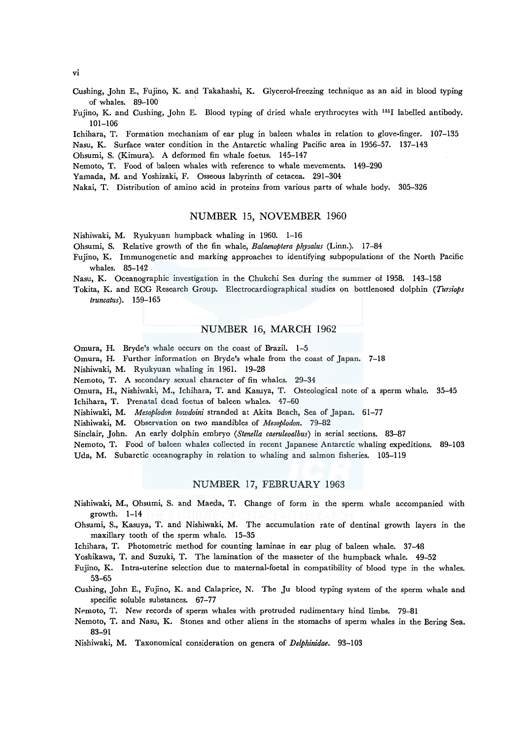Cushing, John E., Fujino, K. and Takahashi, K. Glycerol-freezing technique as an aid in blood typing of whales. 89-100

Fujino, K. and Cushing, John E. Blood typing of dried whale erythrocytes with 1311 labelled antibody. 101-106

Ichihara, T. Formation mechanism of ear plug in baleen whales in relation to glove-finger. 107-135 Nasu, K. Surface water condition in the Antarctic whaling Pacific area in 1956-57. 137-143

Ohsumi, S. (Kimura). A deformed fin whale foetus. 145-147

Nemoto, T. Food of baleen whales with reference to whale mevements. 149-290

Yamada, M. and Yoshizaki, F. Osseous labyrinth of cetacea. 291-304

Nakai, T. Distribution of amino acid in proteins from various parts of whale body. 305-326

#### NUMBER 15, NOVEMBER 1960

Nishiwaki, M. Ryukyuan humpback whaling in 1960. 1-16

Ohsumi, S. Relative growth of the fin whale, *Balaenoptera physalus* (Linn.). 17-84

Fujino, K. Immunogenetic and marking approaches to identifying subpopulations of the North Pacific whales. 85-142

Nasu, K. Oceanographic investigation in the Chukchi Sea during the summer of 1958. 143-158

Tokita, K. and ECG Research Group. Electrocardiographical studies on bottlenosed dolphin *(Tursiops truncatus).* 159-165

## NUMBER 16, MARCH 1962

Omura, H. Bryde's whale occurs on the coast of Brazil. 1-5

Omura, H. Further information on Bryde's whale from the coast of Japan. 7-18

Nishiwaki, M. Ryukyuan whaling in 1961. 19-28

Nemoto, T. A secondary sexual character of fin whales. 29-34

Omura, H., Nishiwaki, M., lchihara, T. and Kasuya, T. Osteological note of a sperm whale. 35-45 lchihara, T. Prenatal dead foetus of baleen whales. 47-60

Nishiwaki, M. *Mesoplodon bowdoini* stranded at Akita Beach, Sea of Japan. 61-77

Nishiwaki, M. Observation on two mandibles of *Mesoplodon.* 79-82

Sinclair, John. An early dolphin embryo *(Stenella caeruleoalbus)* in serial sections. 83-87

Nemoto, T. Food of baleen whales collected in recent Japanese Antarctic whaling expeditions. 89-103 Uda, M. Subarctic oceanography in relation to whaling and salmon fisheries. 105-119

#### NUMBER 17, FEBRUARY 1963

- Nishiwaki, M., Ohsumi, S. and Maeda, T. Change of form in the sperm whale accompanied with growth. 1-14
- Ohsumi, S., Kasuya, T. and Nishiwaki, M. The accumulation rate of dentinal growth layers in the maxillary tooth of the sperm whale. 15-35

Ichihara, T. Photometric method for counting laminae in ear plug of baleen whale. 37-48

Yoshikawa, T. and Suzuki, T. The lamination of the masseter of the humpback whale. 49-52

Fujino, K. Intra-uterine selection due to maternal-foetal in compatibility of blood type in the whales. 53-65

Cushing, John E., Fujino, K. and Calaprice, N. The Ju blood typing system of the sperm whale and specific soluble substances. 67-77

Nemoto, T. New records of sperm whales with protruded rudimentary hind limbs. 79-81

Nemoto, T. and Nasu, K. Stones and other aliens in the stomachs of sperm whales in the Bering Sea. 83-91

Nishiwaki, M. Taxonomical consideration on genera of *Delphinidae.* 93-103

vi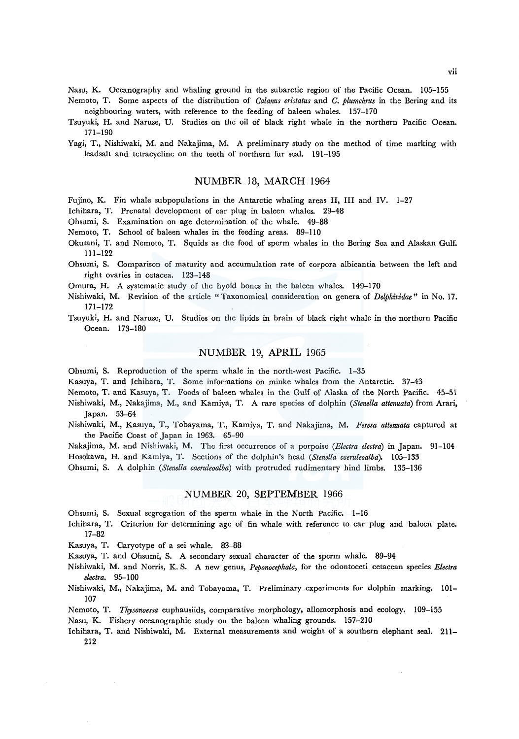Nasu, K. Oceanography and whaling ground in the subarctic region of the Pacific Ocean. 105-155

- Nemoto, T. Some aspects of the distribution of *Calanus cristatus* and *C. plumchrus* in the Bering and its neighbouring waters, with reference to the feeding of baleen whales. 157-170
- Tsuyuki, H. and Naruse, U. Studies on the oil of black right whale in the northern Pacific Ocean. 171-190
- Yagi, T., Nishiwaki, M. and Nakajima, M. A preliminary study on the method of time marking with leadsalt and tetracycline on the teeth of northern fur seal. 191-195

#### NUMBER 18, MARCH 1964

Fujino, K. Fin whale subpopulations in the Antarctic whaling areas II, III and IV. 1-27

Ichihara, T. Prenatal development of ear plug in baleen whales. 29-48

Ohsumi, S. Examination on age determination of the whale. 49-88

Nemoto, T. School of baleen whales in the feeding areas. 89-110

- Okutani, T. and Nemoto, T. Squids as the food of sperm whales in the Bering Sea and Alaskan Gulf. 111-122
- Ohsumi, S. Comparison of maturity and accumulation rate of corpora albicantia between the left and right ovaries in cetacea. 123-148
- Omura, H. A systematic study of the hyoid bones in the baleen whales. 149-170
- Nishiwaki, M. Revision of the article "Taxonomical consideration on genera of *Delphinidae"* in No. 17. 171-172
- Tsuyuki, H. and Naruse, U. Studies on the lipids in brain of black right whale in the northern Pacific Ocean. 173-180

#### NUMBER 19, APRIL 1965

Ohsumi, S. Reproduction of the sperm whale in the north-west Pacific. 1-35

Kasuya, T. and Ichihara, T. Some informations on minke whales from the Antarctic. 37-43

Nemoto, T. and Kasuya, T. Foods of baleen whales in the Gulf of Alaska of the North Pacific. 45-51

Nishiwaki, M., Nakajima, M., and Kamiya, T. A rare species of dolphin *(Stenella attenuata)* from Arari, Japan. 53-64

Nishiwaki, M., Kasuya, T., Tobayama, T., Kamiya, T. and Nakajima, M. *Feresa attenuata* captured at the Pacific Coast of Japan in 1963. 65-90

Nakajima, M. and Nishiwaki, M. The first occurrence of a porpoise *(Electra electra)* in Japan. 91-104 Hosokawa, H. and Kamiya, T. Sections of the dolphin's head *(Stenella caeruleoalba).* 105-133

Ohsumi, S. A dolphin *(Stenella caeruleoalba)* with protruded rudimentary hind limbs. 135-136

## NUMBER 20, SEPTEMBER 1966

Ohsumi, S. Sexual segregation of the sperm whale in the North Pacific. 1-16

- Ichihara, T. Criterion for determining age of fin whale with reference to ear plug and baleen plate. 17-82
- Kasuya, T. Caryotype of a sei whale. 83-88

Kasuya, T. and Ohsumi, S. A secondary sexual character of the sperm whale. 89-94

- Nishiwaki, M. and Norris, K. S. A new genus, *Peponocephala,* for the odontoceti cetacean species *Electra electra.* 95-100
- Nishiwaki, M., Nakajima, M. and Tobayama, T. Preliminary experiments for dolphin marking. 101- 107
- Nemoto, T. *Thysanoessa* euphausiids, comparative morphology, allomorphosis and ecology. 109-155

Nasu, K. Fishery oceanographic study on the baleen whaling grounds. 157-210

Ichihara, T. and Nishiwaki, M. External measurements and weight of a southern elephant seal. 211- 212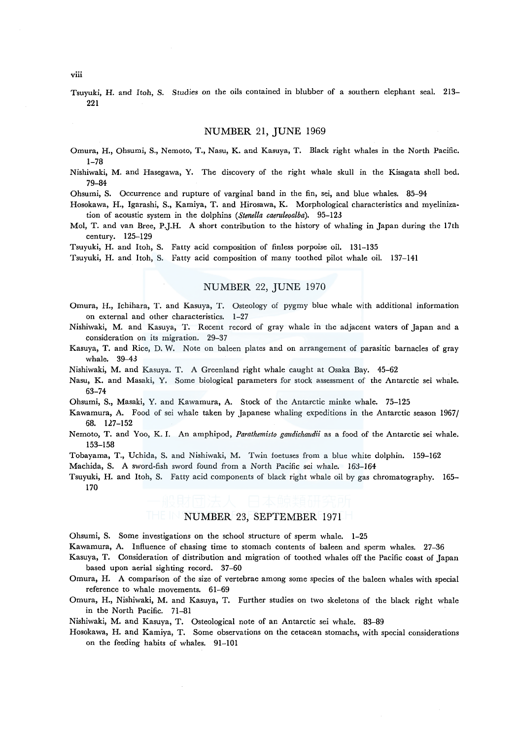Tsuyuki, H. and Itoh, S. Studies on the oils contained in blubber of a southern elephant seal. 213- 221

#### NUMBER 21, JUNE 1969

Omura, H., Ohsumi, S., Nemoto, T., Nasu, K. and Kasuya, T. Black right whales in the North Pacific. 1-78

Nishiwaki, M. and Hasegawa, Y. The discovery of the right whale skull in the Kisagata shell bed. 79-84

Ohsumi, S. Occurrence and rupture of varginal band in the fin, sei, and blue whales. 85-94

Hosokawa, H., Igarashi, S., Kamiya, T. and Hirosawa, K. Morphological characteristics and myelinization of acoustic system in the dolphins *(Stenella caeruleoalba).* 95-123

Mo!, T. and van Bree, P.J.H. A short contribution to the history of whaling in Japan during the 17th century. 125-129

Tsuyuki, H. and Itoh, S. Fatty acid composition of finless porpoise oil. 131-135

Tsuyuki, H. and Itoh, S. Fatty acid composition of many toothed pilot whale oil. 137-141

# NUMBER 22, JUNE 1970

- Omura, H., lchihara, T. and Kasuya, T. Osteology of pygmy blue whale with additional information on external and other characteristics. 1-27
- Nishiwaki, M. and Kasuya, T. Recent record of gray whale in the adjacent waters of Japan and a consideration on its migration. 29-37
- Kasuya, T. and Rice, D. W. Note on baleen plates and on arrangement of parasitic barnacles of gray whale. 39-43
- Nishiwaki, M. and Kasuya. T. A Greenland right whale caught at Osaka Bay. 45-62
- Nasu, K. and Masaki, Y. Some biological parameters for stock assessment of the Antarctic sei whale. 63-74
- Ohsumi, S., Masaki, Y. and Kawamura, A. Stock of the Antarctic minke whale. 75-125
- Kawamura, A. Food of sei whale taken by Japanese whaling expeditions in the Antarctic season 1967/ 68. 127-152
- Nemoto, T. and Yoo, K. I. An amphipod, *Parathemisto gaudichaudii* as a food of the Antarctic sei whale. 153-158
- Tobayama, T., Uchida, S. and Nishiwaki, M. Twin foetuses from a blue white dolphin. 159-162

Machida, S. A sword-fish sword found from a North Pacific sei whale. 163-164

Tsuyuki, H. and Itoh, S. Fatty acid components of black right whale oil by gas chromatography. 165- 170

# NUMBER 23, SEPTEMBER 1971

Ohsumi, S. Some investigations on the school structure of sperm whale. 1-25

Kawamura, A. Influence of chasing time to stomach contents of baleen and sperm whales. 27-36

Kasuya, T. Consideration of distribution and migration of toothed whales off the Pacific coast of Japan based upon aerial sighting record. 37-60

- Omura, H. A comparison of the size of vertebrae among some species of the baleen whales with special reference to whale movements. 61-69
- Omura, H., Nishiwaki, M. and Kasuya, T. Further studies on two skeletons of the black right whale in the North Pacific. 71-81

Nishiwaki, M. and Kasuya, T. Osteological note of an Antarctic sei whale. 83-89

Hosokawa, H. and Kamiya, T. Some observations on the cetacean stomachs, with special considerations on the feeding habits of whales. 91-101

viii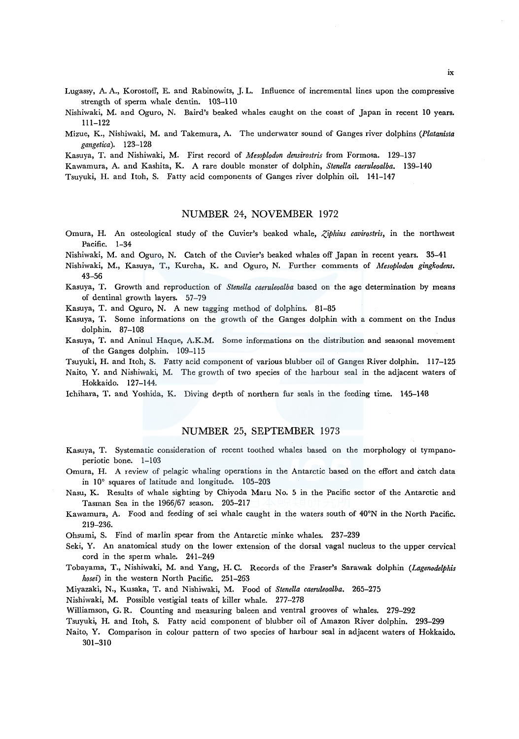Lugassy, A. A., Korostoff, E. and Rabinowits, J. L. Influence of incremental lines upon the compressive strength of sperm whale dentin. 103-110

- Nishiwaki, M. and Oguro, N. Baird's beaked whales caught on the coast of Japan in recent lO years. 111-122
- Mizue, K., Nishiwaki, M. and Takemura, A. The underwater sound of Ganges river dolphins *(Platanista gangetica*). 123-128

Kasuya, T. and Nishiwaki, M. First record of *Mesoplodon densirostris* from Formosa. 129-137

Kawamura, A. and Kashita, K. A rare double monster of dolphin, *Stenella caeruleoalba.* 139-140

Tsuyuki, H. and Itoh, S. Fatty acid components of Ganges river dolphin oil. 141-147

#### NUMBER 24, NOVEMBER 1972

Omura, H. An osteological study of the Cuvier's beaked whale, *Ziphius cavirostris*, in the northwest Pacific. 1-34

Nishiwaki, M. and Oguro, N. Catch of the Cuvier's beaked whales off Japan in recent years. 35-41

- Nishiwaki, M., Kasuya, T., Kureha, K. and Oguro, N. Further comments of *Mesoplodon gingkodens.*  43-56
- Kasuya, T. Growth and reproduction of *Stenella caeruleoalba* based on the age determination by means of dentinal growth layers. 57-79

Kasuya, T. and Oguro, N. A new tagging method of dolphins. 81-85

- Kasuya, T. Some informations on the growth of the Ganges dolphin with a comment on the Indus dolphin. 87-108
- Kasuya, T. and Aninul Haque, A.K.M. Some informations on the distribution and seasonal movement of the Ganges dolphin. 109-115
- Tsuyuki, H. and Itoh, S. Fatty acid component of various blubber oil of Ganges River dolphin. l 17-125
- Naito, Y. and Nishiwaki, M. The growth of two species of the harbour seal in the adjacent waters of Hokkaido. 127-144.

Ichihara, T. and Yoshida, K. Diving depth of northern fur seals in the feeding time. 145-148

#### NUMBER 25, SEPTEMBER 1973

- Kasuya, T. Systematic consideration of recent toothed whales based on the morphology of tympanoperiotic bone. 1-103
- Omura, H. A review of pelagic whaling operations in the Antarctic based on the effort and catch data in 10° squares of latitude and longitude. 105-203
- Nasu, K. Results of whale sighting by Chiyoda Maru No. 5 in the Pacific sector of the Antarctic and Tasman Sea in the 1966/67 season. 205-217
- Kawamura, A. Food and feeding of sei whale caught in the waters south of 40°N in the North Pacific. 219-236.
- Ohsumi, S. Find of marlin spear from the Antarctic minke whales. 237-239
- Seki, Y. An anatomical study on the lower extension of the dorsal vagal nucleus to the upper cervical cord in the sperm whale. 241-249
- Tobayama, T., Nishiwaki, M. and Yang, H. C. Records of the Fraser's Sarawak dolphin *(Lagenodelphis hosei)* in the western North Pacific. 251-263

Miyazaki, N., Kusaka, T. and Nishiwaki, M. Food of *Stenella caeruleoalba.* 265-275

Nishiwaki, M. Possible vestigial teats of killer whale. 277-278

- Williamson, G. R. Counting and measuring baleen and ventral grooves of whales. 279-292
- Tsuyuki, H. and Itoh, S. Fatty acid component of blubber oil of Amazon River dolphin. 293-299
- Naito, Y. Comparison in colour pattern of two species of harbour seal in adjacent waters of Hokkaido. 301-310